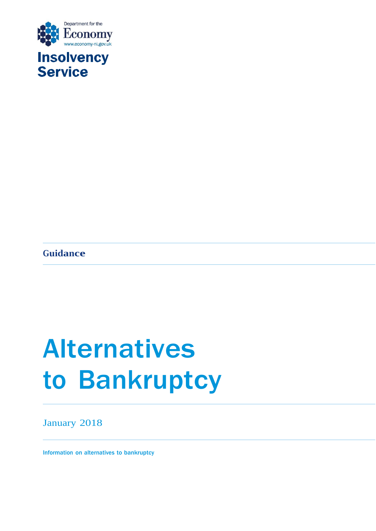

# **Insolvency<br>Service**

**Guidance**

## Alternatives to Bankruptcy

January 2018

Information on alternatives to bankruptcy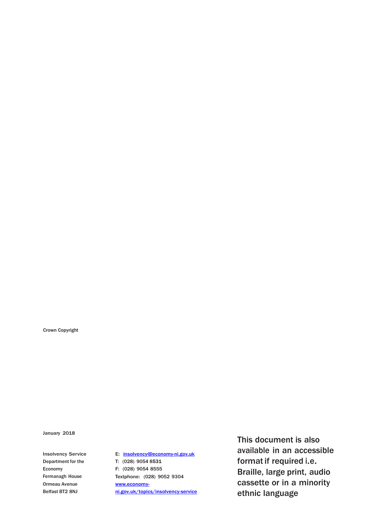Crown Copyright

January 2018

Insolvency Service Department for the Economy Fermanagh House Ormeau Avenue Belfast BT2 8NJ

E: [insolvency@economy-ni.gov.uk](mailto:insolvency@economy-ni.gov.uk) T: (028) 9054 8531 F: (028) 9054 8555 Textphone: (028) 9052 9304 [www.economy](http://www.economy-ni.gov.uk/topics/insolvency-service)[ni.gov.uk/topics/insolvency-service](http://www.economy-ni.gov.uk/topics/insolvency-service) This document is also available in an accessible format if required i.e. Braille, large print, audio cassette or in a minority ethnic language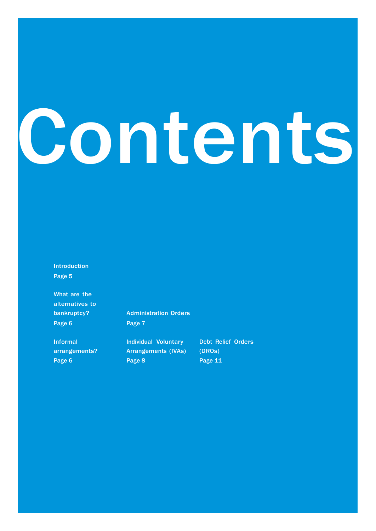# Contents

Introduction Page 5

What are the alternatives to bankruptcy? Page 6

Informal arrangements? Page 6

Administration Orders Page 7

Individual Voluntary Arrangements (IVAs) Page 8

Debt Relief Orders (DROs) Page 11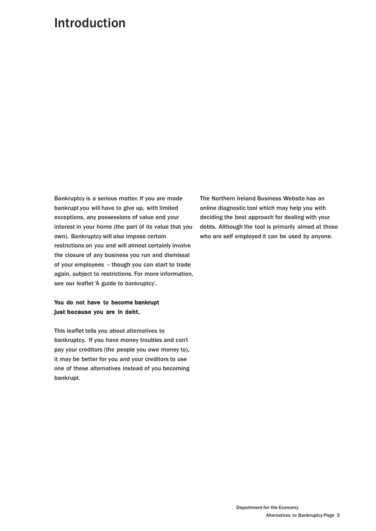### Introduction

Bankruptcy is a serious matter. If you are made bankrupt you will have to give up, with limited exceptions, any possessions of value and your interest in your home (the part of its value that you own). Bankruptcy will also impose certain restrictions on you and will almost certainly involve the closure of any business you run and dismissal of your employees - though you can start to trade again, subject to restrictions. For more information, see our leaflet 'A guide to bankruptcy'.

#### You do not have to become bankrupt just because you are in debt.

This leaflet tells you about alternatives to bankruptcy. If you have money troubles and can't pay your creditors (the people you owe money to), it may be better for you and your creditors to use one of these alternatives instead of you becoming bankrupt.

The Northern Ireland Business Website has an online diagnostic tool which may help you with deciding the best approach for dealing with your debts. Although the tool is primarily aimed at those who are self employed it can be used by anyone.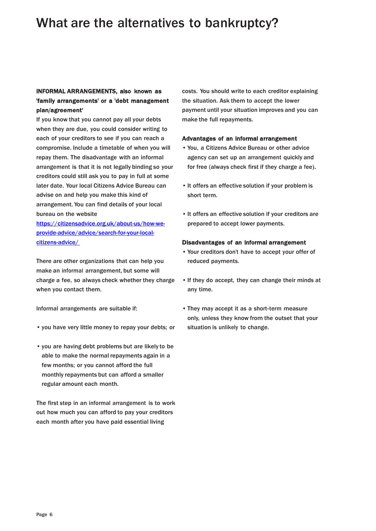## What are the alternatives to bankruptcy?

#### INFORMAL ARRANGEMENTS, also known as 'family arrangements' or a 'debt management plan/agreement'

If you know that you cannot pay all your debts when they are due, you could consider writing to each of your creditors to see if you can reach a compromise. Include a timetable of when you will repay them. The disadvantage with an informal arrangement is that it is not legally binding so your creditors could still ask you to pay in full at some later date. Your local Citizens Advice Bureau can advise on and help you make this kind of arrangement. You can find details of your local bureau on the website

[https://citizensadvice.org.uk/about-us/how-we](https://citizensadvice.org.uk/about-us/how-we-provide-advice/advice/search-for-your-local-citizens-advice/)[provide-advice/advice/search-for-your-local](https://citizensadvice.org.uk/about-us/how-we-provide-advice/advice/search-for-your-local-citizens-advice/)[citizens-advice/](https://citizensadvice.org.uk/about-us/how-we-provide-advice/advice/search-for-your-local-citizens-advice/)

There are other organizations that can help you make an informal arrangement, but some will charge a fee, so always check whether they charge when you contact them.

Informal arrangements are suitable if:

- you have very little money to repay your debts; or
- you are having debt problems but are likely to be able to make the normal repayments again in a few months; or you cannot afford the full monthly repayments but can afford a smaller regular amount each month.

The first step in an informal arrangement is to work out how much you can afford to pay your creditors each month after you have paid essential living

costs. You should write to each creditor explaining the situation. Ask them to accept the lower payment until your situation improves and you can make the full repayments.

#### Advantages of an informal arrangement

- You, a Citizens Advice Bureau or other advice agency can set up an arrangement quickly and for free (always check first if they charge a fee).
- It offers an effective solution if your problem is short term.
- It offers an effective solution if your creditors are prepared to accept lower payments.

#### Disadvantages of an informal arrangement

- Your creditors don't have to accept your offer of reduced payments.
- If they do accept, they can change their minds at any time.
- They may accept it as a short-term measure only, unless they know from the outset that your situation is unlikely to change.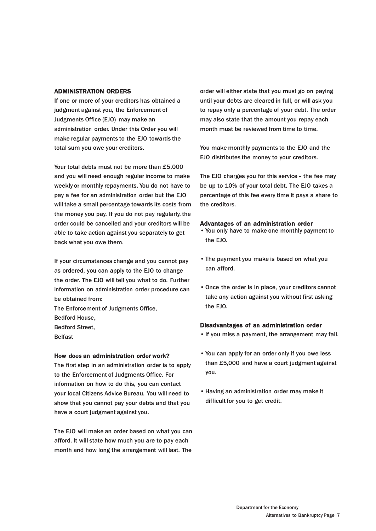#### ADMINISTRATION ORDERS

If one or more of your creditors has obtained a judgment against you, the Enforcement of Judgments Office (EJO) may make an administration order. Under this Order you will make regular payments to the EJO towards the total sum you owe your creditors.

Your total debts must not be more than £5,000 and you will need enough regular income to make weekly or monthly repayments. You do not have to pay a fee for an administration order but the EJO will take a small percentage towards its costs from the money you pay. If you do not pay regularly, the order could be cancelled and your creditors will be able to take action against you separately to get back what you owe them.

If your circumstances change and you cannot pay as ordered, you can apply to the EJO to change the order. The EJO will tell you what to do. Further information on administration order procedure can be obtained from: The Enforcement of Judgments Office, Bedford House, Bedford Street, Belfast

#### How does an administration order work?

The first step in an administration order is to apply to the Enforcement of Judgments Office. For information on how to do this, you can contact your local Citizens Advice Bureau. You will need to show that you cannot pay your debts and that you have a court judgment against you.

The EJO will make an order based on what you can afford. It will state how much you are to pay each month and how long the arrangement will last. The

order will either state that you must go on paying until your debts are cleared in full, or will ask you to repay only a percentage of your debt. The order may also state that the amount you repay each month must be reviewed from time to time.

You make monthly payments to the EJO and the EJO distributes the money to your creditors.

The EJO charges you for this service - the fee may be up to 10% of your total debt. The EJO takes a percentage of this fee every time it pays a share to the creditors.

#### Advantages of an administration order

- You only have to make one monthly payment to the EJO.
- The payment you make is based on what you can afford.
- Once the order is in place, your creditors cannot take any action against you without first asking the EJO.

#### Disadvantages of an administration order

- If you miss a payment, the arrangement may fail.
- You can apply for an order only if you owe less than £5,000 and have a court judgment against you.
- Having an administration order may make it difficult for you to get credit.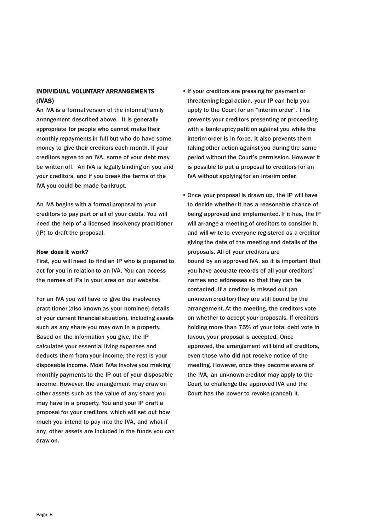#### INDIVIDUAL VOLUNTARY ARRANGEMENTS (IVAS)

An IVA is a formal version of the informal/family arrangement described above. It is generally appropriate for people who cannot make their monthly repayments in full but who do have some money to give their creditors each month. If your creditors agree to an IVA, some of your debt may be written off. An IVA is legally binding on you and your creditors, and if you break the terms of the IVA you could be made bankrupt.

An IVA begins with a formal proposal to your creditors to pay part or all of your debts. You will need the help of a licensed insolvency practitioner (IP) to draft the proposal.

#### How does it work?

First, you will need to find an IP who is prepared to act for you in relation to an IVA. You can access the names of IPs in your area on our website.

For an IVA you will have to give the insolvency practitioner (also known as your nominee) details of your current financial situation), including assets such as any share you may own in a property. Based on the information you give, the IP calculates your essential living expenses and deducts them from your income; the rest is your disposable income. Most IVAs involve you making monthly payments to the IP out of your disposable income. However, the arrangement may draw on other assets such as the value of any share you may have in a property. You and your IP draft a proposal for your creditors, which will set out how much you intend to pay into the IVA, and what if any, other assets are included in the funds you can draw on.

- If your creditors are pressing for payment or threatening legal action, your IP can help you apply to the Court for an "interim order". This prevents your creditors presenting or proceeding with a bankruptcy petition against you while the interim order is in force. It also prevents them taking other action against you during the same period without the Court's permission. However it is possible to put a proposal to creditors for an IVA without applying for an interim order.
- Once your proposal is drawn up, the IP will have to decide whether it has a reasonable chance of being approved and implemented. If it has, the IP will arrange a meeting of creditors to consider it, and will write to everyone registered as a creditor giving the date of the meeting and details of the proposals. All of your creditors are bound by an approved IVA, so it is important that you have accurate records of all your creditors' names and addresses so that they can be contacted. If a creditor is missed out (an unknown creditor) they are still bound by the arrangement. At the meeting, the creditors vote on whether to accept your proposals. If creditors holding more than 75% of your total debt vote in favour, your proposal is accepted. Once approved, the arrangement will bind all creditors, even those who did not receive notice of the meeting. However, once they become aware of the IVA, an unknown creditor may apply to the Court to challenge the approved IVA and the Court has the power to revoke (cancel) it.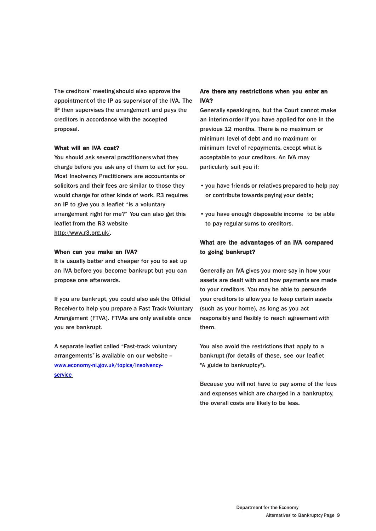The creditors' meeting should also approve the appointment of the IP as supervisor of the IVA. The IP then supervises the arrangement and pays the creditors in accordance with the accepted proposal.

#### What will an IVA cost?

You should ask several practitioners what they charge before you ask any of them to act for you. Most Insolvency Practitioners are accountants or solicitors and their fees are similar to those they would charge for other kinds of work. R3 requires an IP to give you a leaflet "Is a voluntary arrangement right for me?" You can also get this leaflet from the R3 website [http://www.r3.org.uk/.](http://www.r3.org.uk/)

#### When can you make an IVA?

It is usually better and cheaper for you to set up an IVA before you become bankrupt but you can propose one afterwards.

If you are bankrupt, you could also ask the Official Receiver to help you prepare a Fast Track Voluntary Arrangement (FTVA). FTVAs are only available once you are bankrupt.

A separate leaflet called "Fast-track voluntary arrangements"is available on our website – [www.economy-ni.gov.uk/topics/insolvency](http://www.economy-ni.gov.uk/topics/insolvency-service)**[service](http://www.economy-ni.gov.uk/topics/insolvency-service)** 

#### Are there any restrictions when you enter an IVA?

Generally speaking no, but the Court cannot make an interim order if you have applied for one in the previous 12 months. There is no maximum or minimum level of debt and no maximum or minimum level of repayments, except what is acceptable to your creditors. An IVA may particularly suit you if:

- you have friends or relatives prepared to help pay or contribute towards paying your debts;
- you have enough disposable income to be able to pay regular sums to creditors.

#### What are the advantages of an IVA compared to going bankrupt?

Generally an IVA gives you more say in how your assets are dealt with and how payments are made to your creditors. You may be able to persuade your creditors to allow you to keep certain assets (such as your home), as long as you act responsibly and flexibly to reach agreement with them.

You also avoid the restrictions that apply to a bankrupt (for details of these, see our leaflet "A guide to bankruptcy").

Because you will not have to pay some of the fees and expenses which are charged in a bankruptcy, the overall costs are likely to be less.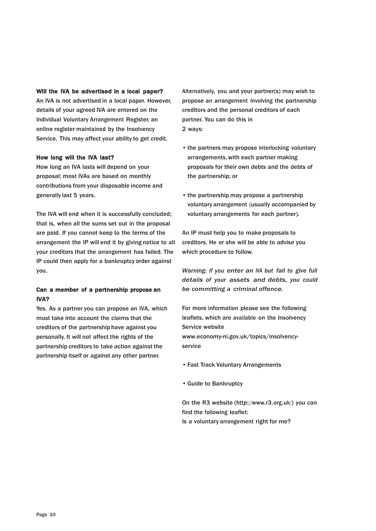#### Will the IVA be advertised in a local paper?

An IVA is not advertised in a local paper. However, details of your agreed IVA are entered on the Individual Voluntary Arrangement Register, an online register maintained by the Insolvency Service. This may affect your ability to get credit.

#### How long will the IVA last?

How long an IVA lasts will depend on your proposal; most IVAs are based on monthly contributions from your disposable income and generally last 5 years.

The IVA will end when it is successfully concluded; that is, when all the sums set out in the proposal are paid. If you cannot keep to the terms of the arrangement the IP will end it by giving notice to all your creditors that the arrangement has failed. The IP could then apply for a bankruptcy order against you.

#### Can a member of a partnership propose an IVA?

Yes. As a partner you can propose an IVA, which must take into account the claims that the creditors of the partnership have against you personally. It will not affect the rights of the partnership creditors to take action against the partnership itself or against any other partner.

Alternatively, you and your partner(s) may wish to propose an arrangement involving the partnership creditors and the personal creditors of each partner. You can do this in 2 ways:

- the partners may propose interlocking voluntary arrangements, with each partner making proposals for their own debts and the debts of the partnership; or
- the partnership may propose a partnership voluntary arrangement (usually accompanied by voluntary arrangements for each partner).

An IP must help you to make proposals to creditors. He or she will be able to advise you which procedure to follow.

*Warning: If you enter an IVA but fail to give full details of your assets and debts, you could be committing a criminal offence.*

For more information please see the following leaflets, which are available on the Insolvency Service website [www.economy-ni.gov.uk/topics/insolvency](http://www.insolvencyservice.detini.gov.uk/)[service](http://www.insolvencyservice.detini.gov.uk/)

- Fast Track Voluntary Arrangements
- Guide to Bankruptcy

On the R3 website [\(http://www.r3.org.uk/\)](http://www.r3.org.uk/)) you can find the following leaflet: Is a voluntary arrangement right for me?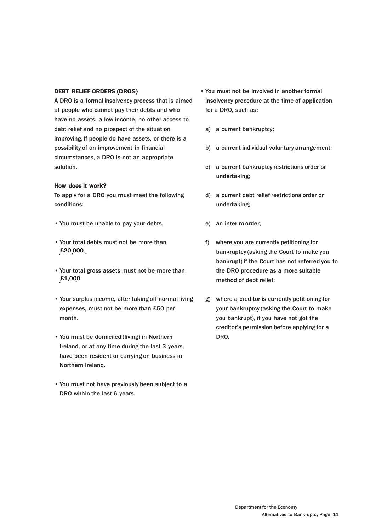#### DEBT RELIEF ORDERS (DROS)

A DRO is a formal insolvency process that is aimed at people who cannot pay their debts and who have no assets, a low income, no other access to debt relief and no prospect of the situation improving. If people do have assets, or there is a possibility of an improvement in financial circumstances, a DRO is not an appropriate solution.

#### How does it work?

To apply for a DRO you must meet the following conditions:

- You must be unable to pay your debts.
- £20,000. • Your total debts must not be more than
- $£1,000.$ • Your total gross assets must not be more than
- Your surplus income, after taking off normal living expenses, must not be more than £50 per month.
- You must be domiciled (living) in Northern Ireland, or at any time during the last 3 years, have been resident or carrying on business in Northern Ireland.
- You must not have previously been subject to a DRO within the last 6 years.
- You must not be involved in another formal insolvency procedure at the time of application for a DRO, such as:
	- a) a current bankruptcy;
	- b) a current individual voluntary arrangement;
	- c) a current bankruptcy restrictions order or undertaking;
	- d) a current debt relief restrictions order or undertaking;
	- e) an interim order;
	- f) where you are currently petitioning for bankruptcy (asking the Court to make you bankrupt) if the Court has not referred you to the DRO procedure as a more suitable method of debt relief;
	- g) where a creditor is currently petitioning for your bankruptcy (asking the Court to make you bankrupt), if you have not got the creditor's permission before applying for a DRO.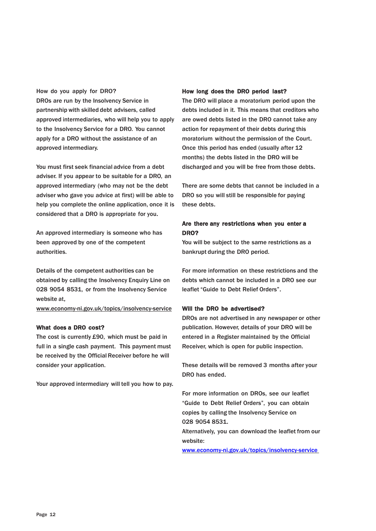#### How do you apply for DRO?

DROs are run by the Insolvency Service in partnership with skilled debt advisers, called approved intermediaries, who will help you to apply to the Insolvency Service for a DRO. You cannot apply for a DRO without the assistance of an approved intermediary.

You must first seek financial advice from a debt adviser. If you appear to be suitable for a DRO, an approved intermediary (who may not be the debt adviser who gave you advice at first) will be able to help you complete the online application, once it is considered that a DRO is appropriate for you.

An approved intermediary is someone who has been approved by one of the competent authorities.

Details of the competent authorities can be obtained by calling the Insolvency Enquiry Line on 028 9054 8531, or from the Insolvency Service website at,

www.economy-ni.gov.uk/topics/insolvency-service

#### What does a DRO cost?

The cost is currently £90, which must be paid in full in a single cash payment. This payment must be received by the Official Receiver before he will consider your application.

Your approved intermediary will tell you how to pay.

#### How long does the DRO period last?

The DRO will place a moratorium period upon the debts included in it. This means that creditors who are owed debts listed in the DRO cannot take any action for repayment of their debts during this moratorium without the permission of the Court. Once this period has ended (usually after 12 months) the debts listed in the DRO will be discharged and you will be free from those debts.

There are some debts that cannot be included in a DRO so you will still be responsible for paying these debts.

#### Are there any restrictions when you enter a DRO?

You will be subject to the same restrictions as a bankrupt during the DRO period.

For more information on these restrictions and the debts which cannot be included in a DRO see our leaflet "Guide to Debt Relief Orders".

#### Will the DRO be advertised?

DROs are not advertised in any newspaper or other publication. However, details of your DRO will be entered in a Register maintained by the Official Receiver, which is open for public inspection.

These details will be removed 3 months after your DRO has ended.

For more information on DROs, see our leaflet "Guide to Debt Relief Orders", you can obtain copies by calling the Insolvency Service on 028 9054 8531.

Alternatively, you can download the leaflet from our website:

[www.economy-ni.gov.uk/topics/insolvency-service](http://www.economy-ni.gov.uk/topics/insolvency-service)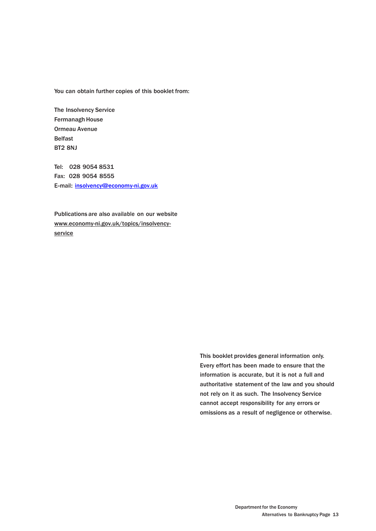You can obtain further copies of this booklet from:

The Insolvency Service Fermanagh House Ormeau Avenue Belfast BT2 8NJ

Tel: 028 9054 8531 Fax: 028 9054 8555 E-mail: [insolvency@economy-ni.gov.uk](mailto:insolvency@economy-ni.gov.uk)

Publications are also available on our website [www.economy-ni.gov.uk/topics/insolvency](http://www.insolvencyservicedetini.gov.uk/)[service](http://www.insolvencyservicedetini.gov.uk/)

> This booklet provides general information only. Every effort has been made to ensure that the information is accurate, but it is not a full and authoritative statement of the law and you should not rely on it as such. The Insolvency Service cannot accept responsibility for any errors or omissions as a result of negligence or otherwise.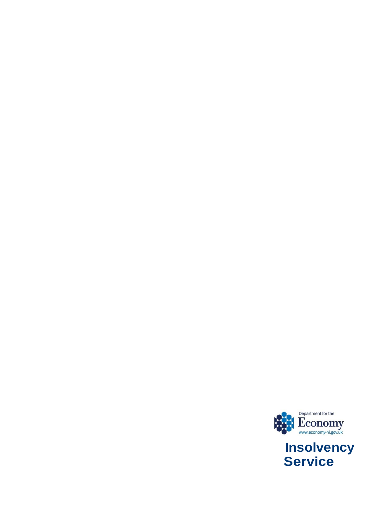

**Service**

-